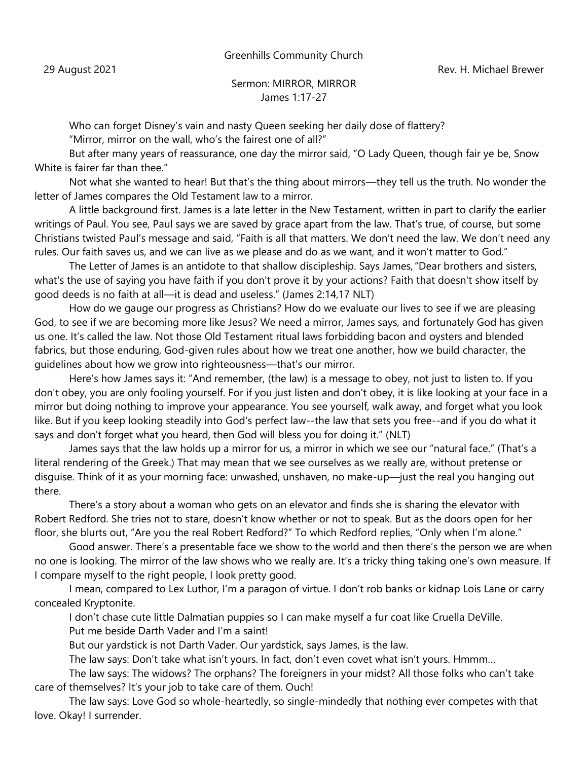Greenhills Community Church

29 August 2021 **Rev. H. Michael Brewer** 

## Sermon: MIRROR, MIRROR James 1:17-27

Who can forget Disney's vain and nasty Queen seeking her daily dose of flattery? ["Mirror, mirror on the wall, who's the fairest one of all?"](http://www.scils.rutgers.edu/~kvander/white3.html)

But after many years of reassurance, one day the mirror said, "O Lady Queen, though fair ye be, Snow White is fairer far than thee."

Not what she wanted to hear! But that's the thing about mirrors—they tell us the truth. No wonder the letter of James compares the Old Testament law to a mirror.

A little background first. James is a late letter in the New Testament, written in part to clarify the earlier writings of Paul. You see, Paul says we are saved by grace apart from the law. That's true, of course, but some Christians twisted Paul's message and said, "Faith is all that matters. We don't need the law. We don't need any rules. Our faith saves us, and we can live as we please and do as we want, and it won't matter to God."

The Letter of James is an antidote to that shallow discipleship. Says James, "Dear brothers and sisters, what's the use of saying you have faith if you don't prove it by your actions? Faith that doesn't show itself by good deeds is no faith at all—it is dead and useless." (James 2:14,17 NLT)

How do we gauge our progress as Christians? How do we evaluate our lives to see if we are pleasing God, to see if we are becoming more like Jesus? We need a mirror, James says, and fortunately God has given us one. It's called the law. Not those Old Testament ritual laws forbidding bacon and oysters and blended fabrics, but those enduring, God-given rules about how we treat one another, how we build character, the guidelines about how we grow into righteousness—that's our mirror.

Here's how James says it: "And remember, (the law) is a message to obey, not just to listen to. If you don't obey, you are only fooling yourself. For if you just listen and don't obey, it is like looking at your face in a mirror but doing nothing to improve your appearance. You see yourself, walk away, and forget what you look like. But if you keep looking steadily into God's perfect law--the law that sets you free--and if you do what it says and don't forget what you heard, then God will bless you for doing it." (NLT)

James says that the law holds up a mirror for us, a mirror in which we see our "natural face." (That's a literal rendering of the Greek.) That may mean that we see ourselves as we really are, without pretense or disguise. Think of it as your morning face: unwashed, unshaven, no make-up—just the real you hanging out there.

There's a story about a woman who gets on an elevator and finds she is sharing the elevator with Robert Redford. She tries not to stare, doesn't know whether or not to speak. But as the doors open for her floor, she blurts out, "Are you the real Robert Redford?" To which Redford replies, "Only when I'm alone."

Good answer. There's a presentable face we show to the world and then there's the person we are when no one is looking. The mirror of the law shows who we really are. It's a tricky thing taking one's own measure. If I compare myself to the right people, I look pretty good.

I mean, compared to Lex Luthor, I'm a paragon of virtue. I don't rob banks or kidnap Lois Lane or carry concealed Kryptonite.

I don't chase cute little Dalmatian puppies so I can make myself a fur coat like Cruella DeVille. Put me beside Darth Vader and I'm a saint!

But our yardstick is not Darth Vader. Our yardstick, says James, is the law.

The law says: Don't take what isn't yours. In fact, don't even covet what isn't yours. Hmmm…

The law says: The widows? The orphans? The foreigners in your midst? All those folks who can't take care of themselves? It's your job to take care of them. Ouch!

The law says: Love God so whole-heartedly, so single-mindedly that nothing ever competes with that love. Okay! I surrender.